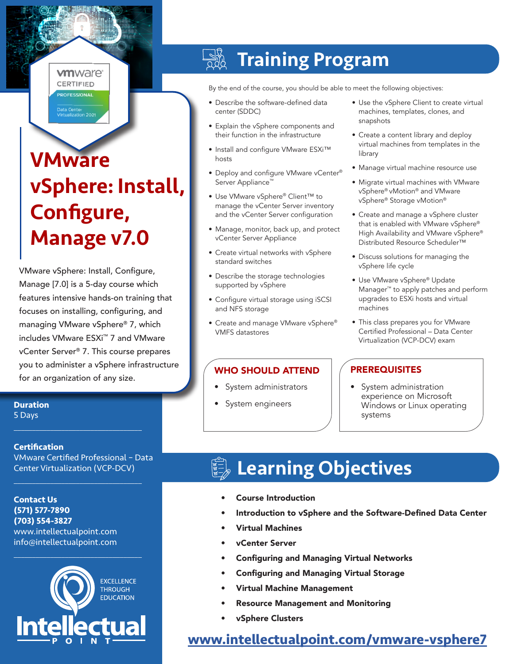#### **vm**ware<sup>®</sup> **CERTIFIED**

**OFFSSIONAL** 

# **VMware** vSphere: Install, Configure, Manage v7.0

VMware vSphere: Install, Configure, Manage [7.0] is a 5-day course which features intensive hands-on training that focuses on installing, configuring, and managing VMware vSphere® 7, which includes VMware ESXi™ 7 and VMware vCenter Server® 7. This course prepares you to administer a vSphere infrastructure for an organization of any size.

**Duration** 5 Days

#### **Certification**

VMware Certified Professional – Data Center Virtualization (VCP-DCV)

 $\mathcal{L}_\text{max}$  and  $\mathcal{L}_\text{max}$  and  $\mathcal{L}_\text{max}$  and  $\mathcal{L}_\text{max}$ 

 $\mathcal{L}_\text{max}$  and  $\mathcal{L}_\text{max}$  and  $\mathcal{L}_\text{max}$  and  $\mathcal{L}_\text{max}$ 

**Contact Us (571) 577-7890 (703) 554-3827** www.intellectualpoint.com info@intellectualpoint.com



 $\mathcal{L}_\text{max}$  , where  $\mathcal{L}_\text{max}$  is the set of the set of the set of the set of the set of the set of the set of the set of the set of the set of the set of the set of the set of the set of the set of the set of the se

#### Training Program

By the end of the course, you should be able to meet the following objectives:

- Describe the software-defined data center (SDDC)
- Explain the vSphere components and their function in the infrastructure
- Install and configure VMware ESXi™ hosts
- Deploy and configure VMware vCenter® Server Appliance™
- Use VMware vSphere® Client™ to manage the vCenter Server inventory and the vCenter Server configuration
- Manage, monitor, back up, and protect vCenter Server Appliance
- Create virtual networks with vSphere standard switches
- Describe the storage technologies supported by vSphere
- Configure virtual storage using iSCSI and NFS storage
- Create and manage VMware vSphere® VMFS datastores

### WHO SHOULD ATTEND | PREREQUISITES

- System administrators
- System engineers
- Use the vSphere Client to create virtual machines, templates, clones, and snapshots
- Create a content library and deploy virtual machines from templates in the library
- Manage virtual machine resource use
- Migrate virtual machines with VMware vSphere® vMotion® and VMware vSphere® Storage vMotion®
- Create and manage a vSphere cluster that is enabled with VMware vSphere® High Availability and VMware vSphere® Distributed Resource Scheduler™
- Discuss solutions for managing the vSphere life cycle
- Use VMware vSphere® Update Manager™ to apply patches and perform upgrades to ESXi hosts and virtual machines
- This class prepares you for VMware Certified Professional – Data Center Virtualization (VCP-DCV) exam

• System administration experience on Microsoft Windows or Linux operating systems

# Learning Objectives

- Course Introduction
- Introduction to vSphere and the Software-Defined Data Center
- Virtual Machines
- vCenter Server
- Configuring and Managing Virtual Networks
- Configuring and Managing Virtual Storage
- Virtual Machine Management
- Resource Management and Monitoring
- vSphere Clusters

### **[www.intellectualpoint.com/](https://www.intellectualpoint.com/product/vmware-vsphere-7/)vmware-vsphere7**